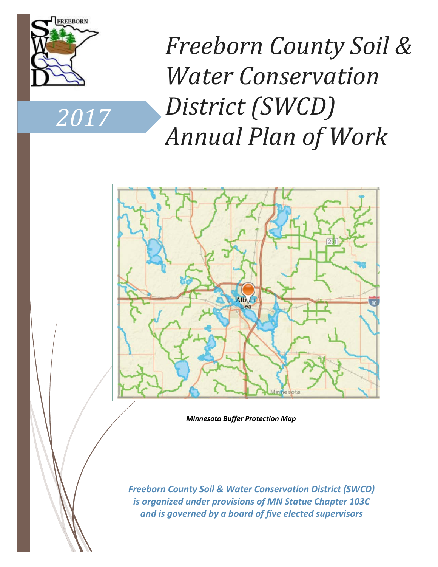

*2017*

*Freeborn County Soil & Water Conservation District (SWCD) Annual Plan of Work*



*Minnesota Buffer Protection Map*

*Freeborn County Soil & Water Conservation District (SWCD) is organized under provisions of MN Statue Chapter 103C and is governed by a board of five elected supervisors*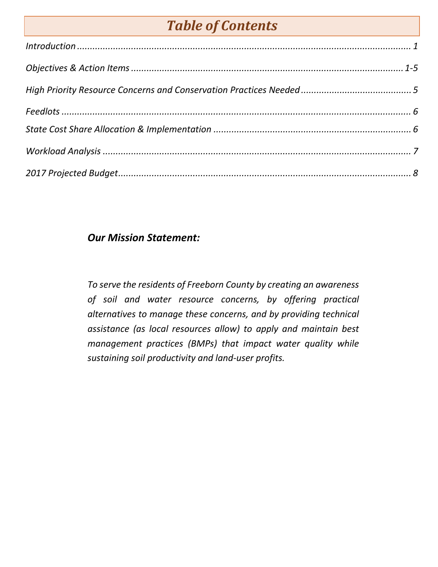# *Table of Contents*

| Introduction 1 |  |
|----------------|--|
|                |  |
|                |  |
|                |  |
|                |  |
|                |  |
|                |  |

### *Our Mission Statement:*

*To serve the residents of Freeborn County by creating an awareness of soil and water resource concerns, by offering practical alternatives to manage these concerns, and by providing technical assistance (as local resources allow) to apply and maintain best management practices (BMPs) that impact water quality while sustaining soil productivity and land-user profits.*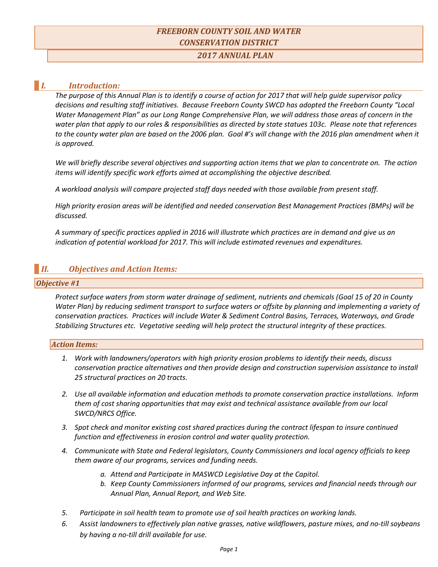### *FREEBORN COUNTY SOIL AND WATER CONSERVATION DISTRICT*

*2017 ANNUAL PLAN*

#### *I. Introduction:*

*The purpose of this Annual Plan is to identify a course of action for 2017 that will help guide supervisor policy decisions and resulting staff initiatives. Because Freeborn County SWCD has adopted the Freeborn County "Local Water Management Plan" as our Long Range Comprehensive Plan, we will address those areas of concern in the water plan that apply to our roles & responsibilities as directed by state statues 103c. Please note that references*  to the county water plan are based on the 2006 plan. Goal #'s will change with the 2016 plan amendment when it *is approved.* 

*We will briefly describe several objectives and supporting action items that we plan to concentrate on. The action items will identify specific work efforts aimed at accomplishing the objective described.*

*A workload analysis will compare projected staff days needed with those available from present staff.*

*High priority erosion areas will be identified and needed conservation Best Management Practices (BMPs) will be discussed.*

*A summary of specific practices applied in 2016 will illustrate which practices are in demand and give us an indication of potential workload for 2017. This will include estimated revenues and expenditures.* 

### *II. Objectives and Action Items:*

#### *Objective #1*

*Protect surface waters from storm water drainage of sediment, nutrients and chemicals (Goal 15 of 20 in County Water Plan) by reducing sediment transport to surface waters or offsite by planning and implementing a variety of conservation practices. Practices will include Water & Sediment Control Basins, Terraces, Waterways, and Grade Stabilizing Structures etc. Vegetative seeding will help protect the structural integrity of these practices.*

#### *Action Items:*

- *1. Work with landowners/operators with high priority erosion problems to identify their needs, discuss conservation practice alternatives and then provide design and construction supervision assistance to install 25 structural practices on 20 tracts.*
- *2. Use all available information and education methods to promote conservation practice installations. Inform them of cost sharing opportunities that may exist and technical assistance available from our local SWCD/NRCS Office.*
- *3. Spot check and monitor existing cost shared practices during the contract lifespan to insure continued function and effectiveness in erosion control and water quality protection.*
- *4. Communicate with State and Federal legislators, County Commissioners and local agency officials to keep them aware of our programs, services and funding needs.*
	- *a. Attend and Participate in MASWCD Legislative Day at the Capitol.*
	- *b. Keep County Commissioners informed of our programs, services and financial needs through our Annual Plan, Annual Report, and Web Site.*
- *5. Participate in soil health team to promote use of soil health practices on working lands.*
- *6. Assist landowners to effectively plan native grasses, native wildflowers, pasture mixes, and no-till soybeans by having a no-till drill available for use.*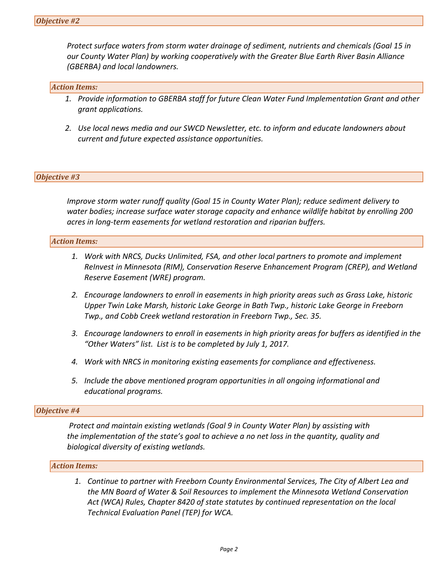*Protect surface waters from storm water drainage of sediment, nutrients and chemicals (Goal 15 in our County Water Plan) by working cooperatively with the Greater Blue Earth River Basin Alliance (GBERBA) and local landowners.*

#### *Action Items:*

- *1. Provide information to GBERBA staff for future Clean Water Fund Implementation Grant and other grant applications.*
- *2. Use local news media and our SWCD Newsletter, etc. to inform and educate landowners about current and future expected assistance opportunities.*

#### *Objective #3*

*Improve storm water runoff quality (Goal 15 in County Water Plan); reduce sediment delivery to water bodies; increase surface water storage capacity and enhance wildlife habitat by enrolling 200 acres in long-term easements for wetland restoration and riparian buffers.*

#### *Action Items:*

- *1. Work with NRCS, Ducks Unlimited, FSA, and other local partners to promote and implement ReInvest in Minnesota (RIM), Conservation Reserve Enhancement Program (CREP), and Wetland Reserve Easement (WRE) program.*
- *2. Encourage landowners to enroll in easements in high priority areas such as Grass Lake, historic Upper Twin Lake Marsh, historic Lake George in Bath Twp., historic Lake George in Freeborn Twp., and Cobb Creek wetland restoration in Freeborn Twp., Sec. 35.*
- *3. Encourage landowners to enroll in easements in high priority areas for buffers as identified in the "Other Waters" list. List is to be completed by July 1, 2017.*
- *4. Work with NRCS in monitoring existing easements for compliance and effectiveness.*
- *5. Include the above mentioned program opportunities in all ongoing informational and educational programs.*

#### *Objective #4*

 *Protect and maintain existing wetlands (Goal 9 in County Water Plan) by assisting with the implementation of the state's goal to achieve a no net loss in the quantity, quality and biological diversity of existing wetlands.*

#### *Action Items:*

*1. Continue to partner with Freeborn County Environmental Services, The City of Albert Lea and the MN Board of Water & Soil Resources to implement the Minnesota Wetland Conservation Act (WCA) Rules, Chapter 8420 of state statutes by continued representation on the local Technical Evaluation Panel (TEP) for WCA.*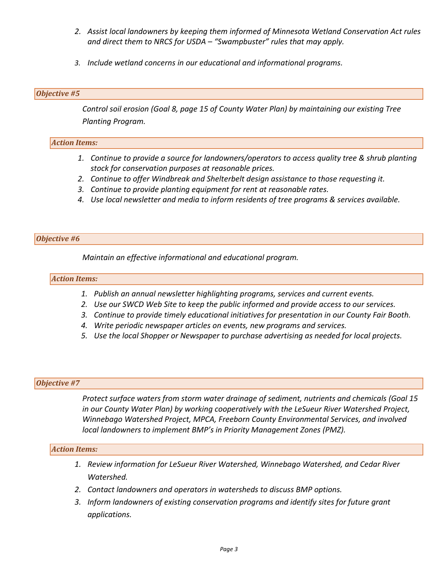- *2. Assist local landowners by keeping them informed of Minnesota Wetland Conservation Act rules and direct them to NRCS for USDA – "Swampbuster" rules that may apply.*
- *3. Include wetland concerns in our educational and informational programs.*

#### *Objective #5*

*Control soil erosion (Goal 8, page 15 of County Water Plan) by maintaining our existing Tree Planting Program.*

#### *Action Items:*

- *1. Continue to provide a source for landowners/operators to access quality tree & shrub planting stock for conservation purposes at reasonable prices.*
- *2. Continue to offer Windbreak and Shelterbelt design assistance to those requesting it.*
- *3. Continue to provide planting equipment for rent at reasonable rates.*
- *4. Use local newsletter and media to inform residents of tree programs & services available.*

#### *Objective #6*

*Maintain an effective informational and educational program.*

#### *Action Items:*

- *1. Publish an annual newsletter highlighting programs, services and current events.*
- *2. Use our SWCD Web Site to keep the public informed and provide access to our services.*
- *3. Continue to provide timely educational initiatives for presentation in our County Fair Booth.*
- *4. Write periodic newspaper articles on events, new programs and services.*
- *5. Use the local Shopper or Newspaper to purchase advertising as needed for local projects.*

#### *Objective #7*

*Protect surface waters from storm water drainage of sediment, nutrients and chemicals (Goal 15 in our County Water Plan) by working cooperatively with the LeSueur River Watershed Project, Winnebago Watershed Project, MPCA, Freeborn County Environmental Services, and involved local landowners to implement BMP's in Priority Management Zones (PMZ).*

#### *Action Items:*

- *1. Review information for LeSueur River Watershed, Winnebago Watershed, and Cedar River Watershed.*
- *2. Contact landowners and operators in watersheds to discuss BMP options.*
- *3. Inform landowners of existing conservation programs and identify sites for future grant applications.*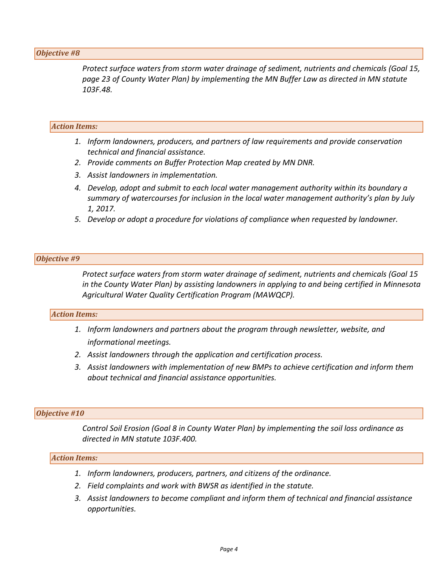#### *Objective #8*

*Protect surface waters from storm water drainage of sediment, nutrients and chemicals (Goal 15, page 23 of County Water Plan) by implementing the MN Buffer Law as directed in MN statute 103F.48.*

#### *Action Items:*

- *1. Inform landowners, producers, and partners of law requirements and provide conservation technical and financial assistance.*
- *2. Provide comments on Buffer Protection Map created by MN DNR.*
- *3. Assist landowners in implementation.*
- *4. Develop, adopt and submit to each local water management authority within its boundary a summary of watercourses for inclusion in the local water management authority's plan by July 1, 2017.*
- *5. Develop or adopt a procedure for violations of compliance when requested by landowner.*

#### *Objective #9*

*Protect surface waters from storm water drainage of sediment, nutrients and chemicals (Goal 15 in the County Water Plan) by assisting landowners in applying to and being certified in Minnesota Agricultural Water Quality Certification Program (MAWQCP).*

#### *Action Items:*

- *1. Inform landowners and partners about the program through newsletter, website, and informational meetings.*
- *2. Assist landowners through the application and certification process.*
- *3. Assist landowners with implementation of new BMPs to achieve certification and inform them about technical and financial assistance opportunities.*

#### *Objective #10*

*Control Soil Erosion (Goal 8 in County Water Plan) by implementing the soil loss ordinance as directed in MN statute 103F.400.*

#### *Action Items:*

- *1. Inform landowners, producers, partners, and citizens of the ordinance.*
- *2. Field complaints and work with BWSR as identified in the statute.*
- *3. Assist landowners to become compliant and inform them of technical and financial assistance opportunities.*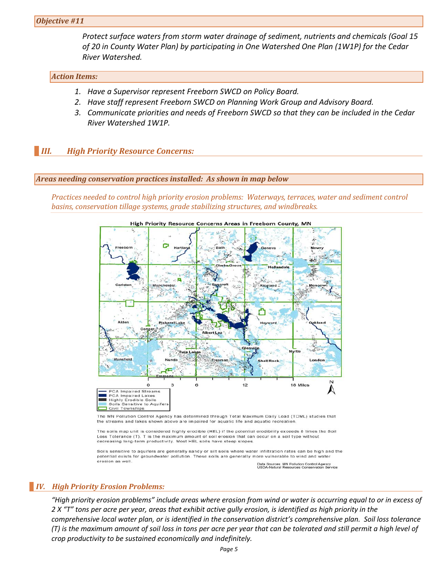*Protect surface waters from storm water drainage of sediment, nutrients and chemicals (Goal 15 of 20 in County Water Plan) by participating in One Watershed One Plan (1W1P) for the Cedar River Watershed.*

#### *Action Items:*

- *1. Have a Supervisor represent Freeborn SWCD on Policy Board.*
- *2. Have staff represent Freeborn SWCD on Planning Work Group and Advisory Board.*
- *3. Communicate priorities and needs of Freeborn SWCD so that they can be included in the Cedar River Watershed 1W1P.*

#### *III. High Priority Resource Concerns:*

#### *Areas needing conservation practices installed: As shown in map below*

*Practices needed to control high priority erosion problems: Waterways, terraces, water and sediment control basins, conservation tillage systems, grade stabilizing structures, and windbreaks.*



High Priority Resource Concerns Areas in Freeborn County, MN

The MN Pollution Control Agency has determined through Total Maximum Daily Load (TDML) studies that the streams and lakes shown above are impaired for aquatic life and aquatic recreation

The soils map unit is considered highly erodible (HEL) if the potential erodibility exceeds 8 times the Soil Loss Tolerance (T). T is the maximum amount of soil erosion that can occur on a soil type without decreasing long-term productivity. Most HEL soils have steep slopes

Soils sensitive to aquifers are generally sandy or silt soils where water infiltration rates can be high and the potential exists for groundwater pollution. These soils are generally more vulnerable to wind and water erosion as well

Data Sources: MN Pollution Control Agency<br>USDA-Natural Resources Conservation Se

#### *IV. High Priority Erosion Problems:*

*"High priority erosion problems" include areas where erosion from wind or water is occurring equal to or in excess of 2 X "T" tons per acre per year, areas that exhibit active gully erosion, is identified as high priority in the comprehensive local water plan, or is identified in the conservation district's comprehensive plan. Soil loss tolerance (T) is the maximum amount of soil loss in tons per acre per year that can be tolerated and still permit a high level of crop productivity to be sustained economically and indefinitely.*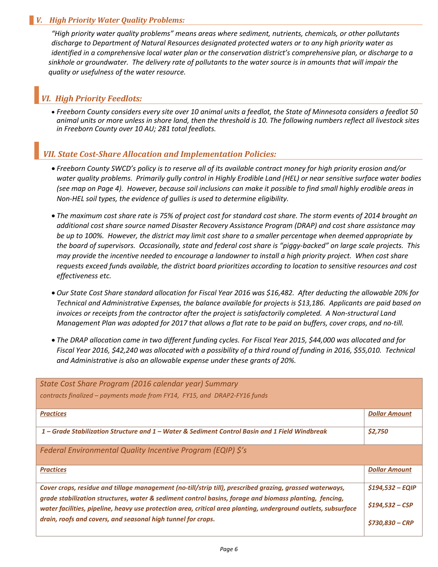#### *V. High Priority Water Quality Problems:*

*"High priority water quality problems" means areas where sediment, nutrients, chemicals, or other pollutants discharge to Department of Natural Resources designated protected waters or to any high priority water as identified in a comprehensive local water plan or the conservation district's comprehensive plan, or discharge to a sinkhole or groundwater. The delivery rate of pollutants to the water source is in amounts that will impair the quality or usefulness of the water resource.*

### *VI. High Priority Feedlots:*

• *Freeborn County considers every site over 10 animal units a feedlot, the State of Minnesota considers a feedlot 50 animal units or more unless in shore land, then the threshold is 10. The following numbers reflect all livestock sites in Freeborn County over 10 AU; 281 total feedlots.*

#### *VII. State Cost-Share Allocation and Implementation Policies:*

- *Freeborn County SWCD's policy is to reserve all of its available contract money for high priority erosion and/or water quality problems. Primarily gully control in Highly Erodible Land (HEL) or near sensitive surface water bodies (see map on Page 4). However, because soil inclusions can make it possible to find small highly erodible areas in Non-HEL soil types, the evidence of gullies is used to determine eligibility.*
- *The maximum cost share rate is 75% of project cost for standard cost share. The storm events of 2014 brought an additional cost share source named Disaster Recovery Assistance Program (DRAP) and cost share assistance may be up to 100%. However, the district may limit cost share to a smaller percentage when deemed appropriate by the board of supervisors. Occasionally, state and federal cost share is "piggy-backed" on large scale projects. This may provide the incentive needed to encourage a landowner to install a high priority project. When cost share requests exceed funds available, the district board prioritizes according to location to sensitive resources and cost effectiveness etc.*
- *Our State Cost Share standard allocation for Fiscal Year 2016 was \$16,482. After deducting the allowable 20% for Technical and Administrative Expenses, the balance available for projects is \$13,186. Applicants are paid based on invoices or receipts from the contractor after the project is satisfactorily completed. A Non-structural Land Management Plan was adopted for 2017 that allows a flat rate to be paid on buffers, cover crops, and no-till.*
- *The DRAP allocation came in two different funding cycles. For Fiscal Year 2015, \$44,000 was allocated and for Fiscal Year 2016, \$42,240 was allocated with a possibility of a third round of funding in 2016, \$55,010. Technical and Administrative is also an allowable expense under these grants of 20%.*

| State Cost Share Program (2016 calendar year) Summary                                                                                                                                                                    |                      |
|--------------------------------------------------------------------------------------------------------------------------------------------------------------------------------------------------------------------------|----------------------|
| contracts finalized – payments made from FY14, FY15, and DRAP2-FY16 funds                                                                                                                                                |                      |
| <b>Practices</b>                                                                                                                                                                                                         | <b>Dollar Amount</b> |
|                                                                                                                                                                                                                          |                      |
| 1 – Grade Stabilization Structure and 1 – Water & Sediment Control Basin and 1 Field Windbreak                                                                                                                           | \$2,750              |
| Federal Environmental Quality Incentive Program (EQIP) \$'s                                                                                                                                                              |                      |
| <b>Practices</b>                                                                                                                                                                                                         | <b>Dollar Amount</b> |
| Cover crops, residue and tillage management (no-till/strip till), prescribed grazing, grassed waterways,                                                                                                                 | $$194,532 - EQIP$    |
| grade stabilization structures, water & sediment control basins, forage and biomass planting, fencing,<br>water facilities, pipeline, heavy use protection area, critical area planting, underground outlets, subsurface | $$194,532 - CSP$     |
| drain, roofs and covers, and seasonal high tunnel for crops.                                                                                                                                                             | \$730.830 - CRP      |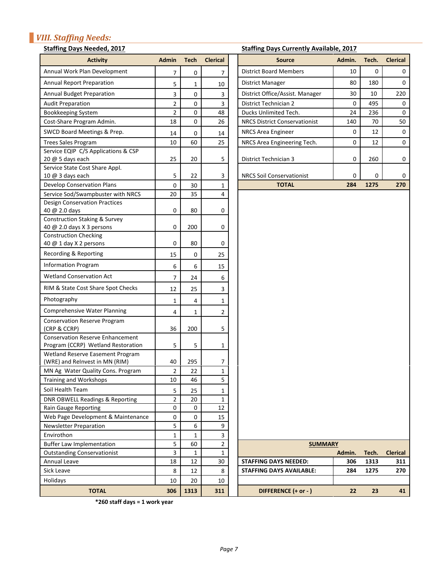## *VIII. Staffing Needs:*

#### **Staffing Days Needed, 2017 Staffing Days Currently Available, 2017**

| <b>Activity</b>                                                               | <b>Admin</b>   | <b>Tech</b> | <b>Clerical</b> | <b>Source</b>                        | Admin. | Tech. | <b>Clerical</b> |
|-------------------------------------------------------------------------------|----------------|-------------|-----------------|--------------------------------------|--------|-------|-----------------|
| Annual Work Plan Development                                                  | 7              | 0           | 7               | <b>District Board Members</b>        | 10     | 0     | 0               |
| <b>Annual Report Preparation</b>                                              | 5              | 1           | 10              | <b>District Manager</b>              | 80     | 180   | 0               |
| <b>Annual Budget Preparation</b>                                              | 3              | 0           | 3               | District Office/Assist. Manager      | 30     | 10    | 220             |
| <b>Audit Preparation</b>                                                      | 2              | 0           | 3               | District Technician 2                | 0      | 495   | 0               |
| Bookkeeping System                                                            | $\overline{2}$ | 0           | 48              | Ducks Unlimited Tech.                | 24     | 236   | 0               |
| Cost-Share Program Admin.                                                     | 18             | 0           | 26              | <b>NRCS District Conservationist</b> | 140    | 70    | 50              |
| SWCD Board Meetings & Prep.                                                   | 14             | 0           | 14              | <b>NRCS Area Engineer</b>            | 0      | 12    | $\mathbf 0$     |
| <b>Trees Sales Program</b>                                                    | 10             | 60          | 25              | NRCS Area Engineering Tech.          | 0      | 12    | 0               |
| Service EQIP C/S Applications & CSP                                           |                |             |                 |                                      |        |       |                 |
| 20 @ 5 days each                                                              | 25             | 20          | 5               | District Technician 3                | 0      | 260   | 0               |
| Service State Cost Share Appl.                                                |                |             |                 |                                      |        |       |                 |
| 10 @ 3 days each                                                              | 5              | 22          | 3               | <b>NRCS Soil Conservationist</b>     | 0      | 0     | 0               |
| <b>Develop Conservation Plans</b>                                             | 0              | 30          | 1               | <b>TOTAL</b>                         | 284    | 1275  | 270             |
| Service Sod/Swampbuster with NRCS                                             | 20             | 35          | 4               |                                      |        |       |                 |
| <b>Design Conservation Practices</b><br>40 @ 2.0 days                         | 0              | 80          | 0               |                                      |        |       |                 |
| Construction Staking & Survey                                                 |                |             |                 |                                      |        |       |                 |
| 40 @ 2.0 days X 3 persons                                                     | 0              | 200         | 0               |                                      |        |       |                 |
| <b>Construction Checking</b>                                                  |                |             |                 |                                      |        |       |                 |
| 40 @ 1 day X 2 persons                                                        | 0              | 80          | 0               |                                      |        |       |                 |
| Recording & Reporting                                                         | 15             | 0           | 25              |                                      |        |       |                 |
| <b>Information Program</b>                                                    | 6              | 6           | 15              |                                      |        |       |                 |
| <b>Wetland Conservation Act</b>                                               | $\overline{7}$ | 24          | 6               |                                      |        |       |                 |
| RIM & State Cost Share Spot Checks                                            | 12             | 25          | 3               |                                      |        |       |                 |
| Photography                                                                   | 1              | 4           | 1               |                                      |        |       |                 |
| <b>Comprehensive Water Planning</b>                                           | 4              | 1           | $\overline{2}$  |                                      |        |       |                 |
| <b>Conservation Reserve Program</b>                                           |                |             |                 |                                      |        |       |                 |
| (CRP & CCRP)                                                                  | 36             | 200         | 5               |                                      |        |       |                 |
| <b>Conservation Reserve Enhancement</b><br>Program (CCRP) Wetland Restoration | 5              | 5           | 1               |                                      |        |       |                 |
| Wetland Reserve Easement Program                                              |                |             |                 |                                      |        |       |                 |
| (WRE) and ReInvest in MN (RIM)                                                | 40             | 295         | 7               |                                      |        |       |                 |
| MN Ag Water Quality Cons. Program                                             | $\overline{2}$ | 22          | $\mathbf{1}$    |                                      |        |       |                 |
| Training and Workshops                                                        | 10             | 46          | 5               |                                      |        |       |                 |
| Soil Health Team                                                              | 5              | 25          | 1               |                                      |        |       |                 |
| <b>DNR OBWELL Readings &amp; Reporting</b>                                    | $\overline{2}$ | 20          | $\mathbf{1}$    |                                      |        |       |                 |
| <b>Rain Gauge Reporting</b>                                                   | 0              | $\mathbf 0$ | 12              |                                      |        |       |                 |
| Web Page Development & Maintenance                                            | 0              | 0           | 15              |                                      |        |       |                 |
| <b>Newsletter Preparation</b>                                                 | 5              | 6           | 9               |                                      |        |       |                 |
| Envirothon                                                                    | $\mathbf{1}$   | 1           | 3               |                                      |        |       |                 |
| <b>Buffer Law Implementation</b>                                              | 5              | 60          | $\overline{2}$  | <b>SUMMARY</b>                       |        |       |                 |
| <b>Outstanding Conservationist</b>                                            | 3              | 1           | $\mathbf{1}$    |                                      | Admin. | Tech. | <b>Clerical</b> |
| Annual Leave                                                                  | 18             | 12          | 30              | <b>STAFFING DAYS NEEDED:</b>         | 306    | 1313  | 311             |
| Sick Leave                                                                    | 8              | 12          | 8               | <b>STAFFING DAYS AVAILABLE:</b>      | 284    | 1275  | 270             |
| Holidays                                                                      | 10             | 20          | 10              |                                      |        |       |                 |
| <b>TOTAL</b>                                                                  | 306            | 1313        | 311             | DIFFERENCE (+ or - )                 | 22     | 23    | 41              |
|                                                                               |                |             |                 |                                      |        |       |                 |

| Development                                    | $\overline{7}$   | 0                | 7              | <b>District Board Members</b>        | 10     | $\mathbf 0$ | 0               |
|------------------------------------------------|------------------|------------------|----------------|--------------------------------------|--------|-------------|-----------------|
| eparation                                      | 5                | 1                | 10             | <b>District Manager</b>              | 80     | 180         | 0               |
| eparation                                      | 3                | $\pmb{0}$        | 3              | District Office/Assist. Manager      | 30     | 10          | 220             |
|                                                | $\overline{2}$   | $\pmb{0}$        | 3              | District Technician 2                | 0      | 495         | 0               |
| em                                             | $\overline{2}$   | $\pmb{0}$        | 48             | Ducks Unlimited Tech.                | 24     | 236         | $\mathbf 0$     |
| am Admin.                                      | 18               | $\mathbf 0$      | 26             | <b>NRCS District Conservationist</b> | 140    | 70          | 50              |
| etings & Prep.                                 | 14               | 0                | 14             | NRCS Area Engineer                   | 0      | 12          | $\mathbf 0$     |
| am                                             | 10               | 60               | 25             | NRCS Area Engineering Tech.          | 0      | 12          | 0               |
| Applications & CSP                             |                  |                  |                |                                      |        |             |                 |
|                                                | 25               | 20               | 5              | District Technician 3                | 0      | 260         | 0               |
| t Share Appl.                                  | 5                | 22               | 3              | <b>NRCS Soil Conservationist</b>     | 0      | 0           | 0               |
| ation Plans                                    | $\boldsymbol{0}$ | 30               | 1              | <b>TOTAL</b>                         | 284    | 1275        | 270             |
| npbuster with NRCS                             | 20               | 35               | 4              |                                      |        |             |                 |
| ion Practices                                  |                  |                  |                |                                      |        |             |                 |
|                                                | 0                | 80               | 0              |                                      |        |             |                 |
| ing & Survey                                   |                  |                  |                |                                      |        |             |                 |
| persons                                        | 0                | 200              | 0              |                                      |        |             |                 |
| cking                                          | $\mathbf 0$      | 80               | 0              |                                      |        |             |                 |
| ersons<br>orting                               |                  |                  |                |                                      |        |             |                 |
| ram                                            | 15               | 0                | 25             |                                      |        |             |                 |
| ation Act                                      | 6                | 6                | 15             |                                      |        |             |                 |
|                                                | 7                | 24               | 6              |                                      |        |             |                 |
| Share Spot Checks                              | 12               | 25               | 3              |                                      |        |             |                 |
|                                                | $1\,$            | 4                | 1              |                                      |        |             |                 |
| Vater Planning                                 | 4                | 1                | 2              |                                      |        |             |                 |
| erve Program                                   |                  |                  |                |                                      |        |             |                 |
|                                                | 36               | 200              | 5              |                                      |        |             |                 |
| erve Enhancement<br><b>Wetland Restoration</b> | 5                | 5                | 1              |                                      |        |             |                 |
| <b>Easement Program</b>                        |                  |                  |                |                                      |        |             |                 |
| est in MN (RIM)                                | 40               | 295              | 7              |                                      |        |             |                 |
| ality Cons. Program                            | $\overline{2}$   | 22               | 1              |                                      |        |             |                 |
| kshops                                         | 10               | 46               | 5              |                                      |        |             |                 |
|                                                | 5                | 25               | 1              |                                      |        |             |                 |
| dings & Reporting                              | $\overline{2}$   | 20               | 1              |                                      |        |             |                 |
| rting                                          | 0                | 0                | 12             |                                      |        |             |                 |
| pment & Maintenance                            | 0                | 0                | 15             |                                      |        |             |                 |
| ration                                         | 5                | $\boldsymbol{6}$ | 9              |                                      |        |             |                 |
|                                                | 1                | 1                | 3              |                                      |        |             |                 |
| mentation                                      | 5                | 60               | $\overline{2}$ | <b>SUMMARY</b>                       |        |             |                 |
| servationist                                   | 3                | 1                | 1              |                                      | Admin. | Tech.       | <b>Clerical</b> |
|                                                | 18               | 12               | 30             | <b>STAFFING DAYS NEEDED:</b>         | 306    | 1313        | 311             |
|                                                | 8                | 12               | 8              | <b>STAFFING DAYS AVAILABLE:</b>      | 284    | 1275        | 270             |
|                                                | 10               | 20               | 10             |                                      |        |             |                 |
| <b>TOTAL</b>                                   | 306              | 1313             | 311            | DIFFERENCE (+ or - )                 | 22     | 23          | 41              |
| $*260$ staff days = 1 work year                |                  |                  |                |                                      |        |             |                 |

**\*260 staff days = 1 work year**